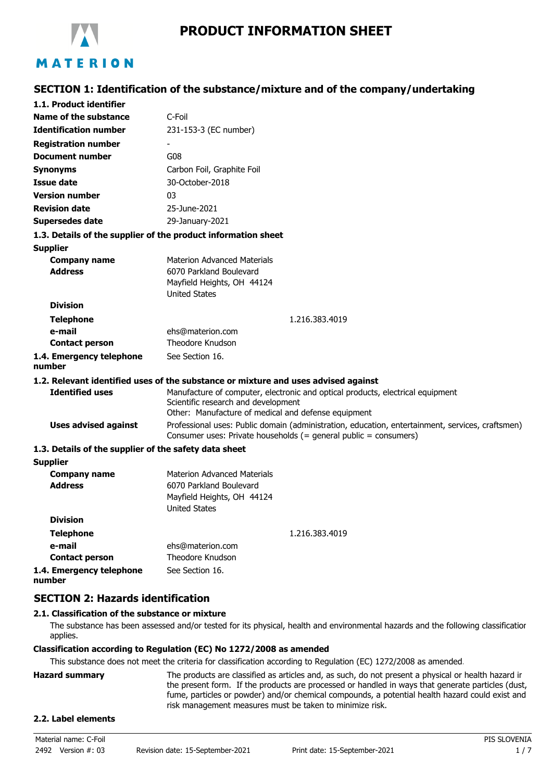

**SECTION 1: Identification of the substance/mixture and of the company/undertaking**

| 1.1. Product identifier                               |                                                                                                                                                                              |  |
|-------------------------------------------------------|------------------------------------------------------------------------------------------------------------------------------------------------------------------------------|--|
| Name of the substance                                 | C-Foil                                                                                                                                                                       |  |
| <b>Identification number</b>                          | 231-153-3 (EC number)                                                                                                                                                        |  |
| <b>Registration number</b>                            |                                                                                                                                                                              |  |
| <b>Document number</b>                                | G08                                                                                                                                                                          |  |
| <b>Synonyms</b>                                       | Carbon Foil, Graphite Foil                                                                                                                                                   |  |
| <b>Issue date</b>                                     | 30-October-2018                                                                                                                                                              |  |
| <b>Version number</b>                                 | 03                                                                                                                                                                           |  |
| <b>Revision date</b>                                  | 25-June-2021                                                                                                                                                                 |  |
| <b>Supersedes date</b>                                | 29-January-2021                                                                                                                                                              |  |
|                                                       | 1.3. Details of the supplier of the product information sheet                                                                                                                |  |
| <b>Supplier</b>                                       |                                                                                                                                                                              |  |
| <b>Company name</b><br><b>Address</b>                 | <b>Materion Advanced Materials</b>                                                                                                                                           |  |
|                                                       | 6070 Parkland Boulevard<br>Mayfield Heights, OH 44124                                                                                                                        |  |
|                                                       | <b>United States</b>                                                                                                                                                         |  |
| <b>Division</b>                                       |                                                                                                                                                                              |  |
| <b>Telephone</b>                                      | 1.216.383.4019                                                                                                                                                               |  |
| e-mail                                                | ehs@materion.com                                                                                                                                                             |  |
| <b>Contact person</b>                                 | Theodore Knudson                                                                                                                                                             |  |
| 1.4. Emergency telephone<br>number                    | See Section 16.                                                                                                                                                              |  |
|                                                       | 1.2. Relevant identified uses of the substance or mixture and uses advised against                                                                                           |  |
| <b>Identified uses</b>                                | Manufacture of computer, electronic and optical products, electrical equipment<br>Scientific research and development<br>Other: Manufacture of medical and defense equipment |  |
| <b>Uses advised against</b>                           | Professional uses: Public domain (administration, education, entertainment, services, craftsmen)<br>Consumer uses: Private households (= general public = consumers)         |  |
| 1.3. Details of the supplier of the safety data sheet |                                                                                                                                                                              |  |
| <b>Supplier</b>                                       |                                                                                                                                                                              |  |
| <b>Company name</b><br><b>Address</b>                 | <b>Materion Advanced Materials</b><br>6070 Parkland Boulevard<br>Mayfield Heights, OH 44124<br><b>United States</b>                                                          |  |
| <b>Division</b>                                       |                                                                                                                                                                              |  |
| <b>Telephone</b>                                      | 1.216.383.4019                                                                                                                                                               |  |
| e-mail                                                | ehs@materion.com                                                                                                                                                             |  |
| <b>Contact person</b>                                 | Theodore Knudson                                                                                                                                                             |  |
| 1.4. Emergency telephone<br>number                    | See Section 16.                                                                                                                                                              |  |

# **SECTION 2: Hazards identification**

# **2.1. Classification of the substance or mixture**

The substance has been assessed and/or tested for its physical, health and environmental hazards and the following classification applies.

### **Classification according to Regulation (EC) No 1272/2008 as amended**

This substance does not meet the criteria for classification according to Regulation (EC) 1272/2008 as amended.

| Hazard summarv | The products are classified as articles and, as such, do not present a physical or health hazard ir |
|----------------|-----------------------------------------------------------------------------------------------------|
|                | the present form. If the products are processed or handled in ways that generate particles (dust,   |
|                | fume, particles or powder) and/or chemical compounds, a potential health hazard could exist and     |
|                | risk management measures must be taken to minimize risk.                                            |
|                |                                                                                                     |

### **2.2. Label elements**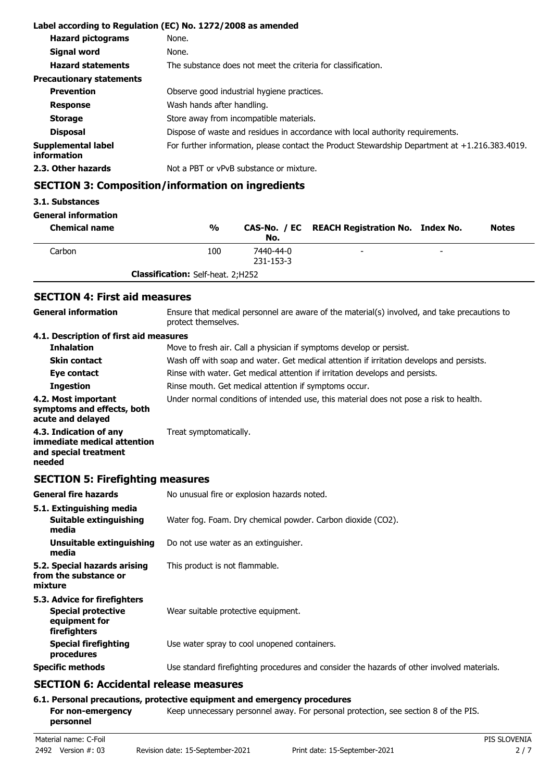|                                   | Label according to Regulation (EC) No. 1272/2008 as amended                                       |  |
|-----------------------------------|---------------------------------------------------------------------------------------------------|--|
| <b>Hazard pictograms</b>          | None.                                                                                             |  |
| <b>Signal word</b>                | None.                                                                                             |  |
| <b>Hazard statements</b>          | The substance does not meet the criteria for classification.                                      |  |
| <b>Precautionary statements</b>   |                                                                                                   |  |
| <b>Prevention</b>                 | Observe good industrial hygiene practices.                                                        |  |
| <b>Response</b>                   | Wash hands after handling.                                                                        |  |
| <b>Storage</b>                    | Store away from incompatible materials.                                                           |  |
| <b>Disposal</b>                   | Dispose of waste and residues in accordance with local authority requirements.                    |  |
| Supplemental label<br>information | For further information, please contact the Product Stewardship Department at $+1.216.383.4019$ . |  |
| 2.3. Other hazards                | Not a PBT or vPvB substance or mixture.                                                           |  |

# **SECTION 3: Composition/information on ingredients**

### **3.1. Substances**

## **General information**

| <b>Chemical name</b> | $\frac{0}{0}$                            | No.                    | CAS-No. / EC REACH Registration No. Index No. |                          | <b>Notes</b> |
|----------------------|------------------------------------------|------------------------|-----------------------------------------------|--------------------------|--------------|
| Carbon               | 100                                      | 7440-44-0<br>231-153-3 |                                               | $\overline{\phantom{0}}$ |              |
|                      | <b>Classification:</b> Self-heat. 2;H252 |                        |                                               |                          |              |

# **SECTION 4: First aid measures**

| <b>General information</b>                                                               | Ensure that medical personnel are aware of the material(s) involved, and take precautions to<br>protect themselves. |
|------------------------------------------------------------------------------------------|---------------------------------------------------------------------------------------------------------------------|
| 4.1. Description of first aid measures                                                   |                                                                                                                     |
| <b>Inhalation</b>                                                                        | Move to fresh air. Call a physician if symptoms develop or persist.                                                 |
| <b>Skin contact</b>                                                                      | Wash off with soap and water. Get medical attention if irritation develops and persists.                            |
| Eye contact                                                                              | Rinse with water. Get medical attention if irritation develops and persists.                                        |
| <b>Ingestion</b>                                                                         | Rinse mouth. Get medical attention if symptoms occur.                                                               |
| 4.2. Most important<br>symptoms and effects, both<br>acute and delayed                   | Under normal conditions of intended use, this material does not pose a risk to health.                              |
| 4.3. Indication of any<br>immediate medical attention<br>and special treatment<br>needed | Treat symptomatically.                                                                                              |

# **SECTION 5: Firefighting measures**

| <b>General fire hazards</b>                                                                | No unusual fire or explosion hazards noted.                                                |  |
|--------------------------------------------------------------------------------------------|--------------------------------------------------------------------------------------------|--|
| 5.1. Extinguishing media<br>Suitable extinguishing<br>media                                | Water fog. Foam. Dry chemical powder. Carbon dioxide (CO2).                                |  |
| Unsuitable extinguishing<br>media                                                          | Do not use water as an extinguisher.                                                       |  |
| 5.2. Special hazards arising<br>from the substance or<br>mixture                           | This product is not flammable.                                                             |  |
| 5.3. Advice for firefighters<br><b>Special protective</b><br>equipment for<br>firefighters | Wear suitable protective equipment.                                                        |  |
| <b>Special firefighting</b><br>procedures                                                  | Use water spray to cool unopened containers.                                               |  |
| <b>Specific methods</b>                                                                    | Use standard firefighting procedures and consider the hazards of other involved materials. |  |
| $CPCTTANC.$ A saidental valence means una                                                  |                                                                                            |  |

# **SECTION 6: Accidental release measures**

## **6.1. Personal precautions, protective equipment and emergency procedures**

For non-emergency **Keep unnecessary personnel away. For personal protection, see section 8 of the PIS. personnel**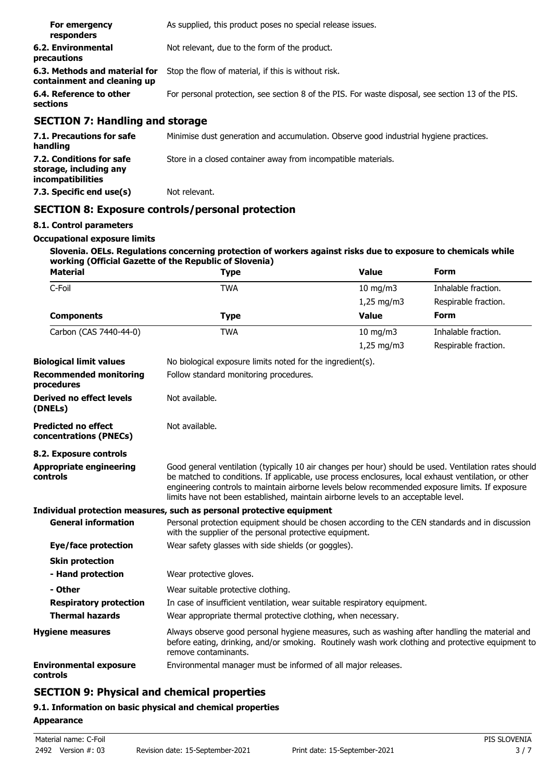| For emergency<br>responders                                  | As supplied, this product poses no special release issues.                                        |
|--------------------------------------------------------------|---------------------------------------------------------------------------------------------------|
| <b>6.2. Environmental</b><br>precautions                     | Not relevant, due to the form of the product.                                                     |
| 6.3. Methods and material for<br>containment and cleaning up | Stop the flow of material, if this is without risk.                                               |
| 6.4. Reference to other<br>sections                          | For personal protection, see section 8 of the PIS. For waste disposal, see section 13 of the PIS. |
|                                                              |                                                                                                   |

# **SECTION 7: Handling and storage**

| 7.1. Precautions for safe<br>handling                                   | Minimise dust generation and accumulation. Observe good industrial hygiene practices. |
|-------------------------------------------------------------------------|---------------------------------------------------------------------------------------|
| 7.2. Conditions for safe<br>storage, including any<br>incompatibilities | Store in a closed container away from incompatible materials.                         |
| 7.3. Specific end use(s)                                                | Not relevant.                                                                         |

# **SECTION 8: Exposure controls/personal protection**

# **8.1. Control parameters**

#### **Occupational exposure limits**

**Slovenia. OELs. Regulations concerning protection of workers against risks due to exposure to chemicals while working (Official Gazette of the Republic of Slovenia)**

| <b>Material</b>                                      | <b>Type</b>                                                                                                                                                                                                                                                                                                                                                                                            | <b>Value</b>                           | Form                 |  |
|------------------------------------------------------|--------------------------------------------------------------------------------------------------------------------------------------------------------------------------------------------------------------------------------------------------------------------------------------------------------------------------------------------------------------------------------------------------------|----------------------------------------|----------------------|--|
| C-Foil                                               | <b>TWA</b>                                                                                                                                                                                                                                                                                                                                                                                             | 10 mg/m3                               | Inhalable fraction.  |  |
|                                                      |                                                                                                                                                                                                                                                                                                                                                                                                        | $1,25$ mg/m3                           | Respirable fraction. |  |
| <b>Components</b>                                    | <b>Type</b>                                                                                                                                                                                                                                                                                                                                                                                            | <b>Value</b>                           | Form                 |  |
| Carbon (CAS 7440-44-0)                               | <b>TWA</b>                                                                                                                                                                                                                                                                                                                                                                                             | $10 \text{ mg/m}$                      | Inhalable fraction.  |  |
|                                                      |                                                                                                                                                                                                                                                                                                                                                                                                        | $1,25 \,\mathrm{mg/m3}$                | Respirable fraction. |  |
| <b>Biological limit values</b>                       | No biological exposure limits noted for the ingredient(s).                                                                                                                                                                                                                                                                                                                                             |                                        |                      |  |
| <b>Recommended monitoring</b><br>procedures          |                                                                                                                                                                                                                                                                                                                                                                                                        | Follow standard monitoring procedures. |                      |  |
| Derived no effect levels<br>(DNELs)                  | Not available.                                                                                                                                                                                                                                                                                                                                                                                         |                                        |                      |  |
| <b>Predicted no effect</b><br>concentrations (PNECs) | Not available.                                                                                                                                                                                                                                                                                                                                                                                         |                                        |                      |  |
| 8.2. Exposure controls                               |                                                                                                                                                                                                                                                                                                                                                                                                        |                                        |                      |  |
| <b>Appropriate engineering</b><br>controls           | Good general ventilation (typically 10 air changes per hour) should be used. Ventilation rates should<br>be matched to conditions. If applicable, use process enclosures, local exhaust ventilation, or other<br>engineering controls to maintain airborne levels below recommended exposure limits. If exposure<br>limits have not been established, maintain airborne levels to an acceptable level. |                                        |                      |  |
|                                                      | Individual protection measures, such as personal protective equipment                                                                                                                                                                                                                                                                                                                                  |                                        |                      |  |
| <b>General information</b>                           | Personal protection equipment should be chosen according to the CEN standards and in discussion<br>with the supplier of the personal protective equipment.                                                                                                                                                                                                                                             |                                        |                      |  |
| Eye/face protection                                  | Wear safety glasses with side shields (or goggles).                                                                                                                                                                                                                                                                                                                                                    |                                        |                      |  |
| <b>Skin protection</b>                               |                                                                                                                                                                                                                                                                                                                                                                                                        |                                        |                      |  |
| - Hand protection                                    | Wear protective gloves.                                                                                                                                                                                                                                                                                                                                                                                |                                        |                      |  |
| - Other                                              | Wear suitable protective clothing.                                                                                                                                                                                                                                                                                                                                                                     |                                        |                      |  |
| <b>Respiratory protection</b>                        | In case of insufficient ventilation, wear suitable respiratory equipment.                                                                                                                                                                                                                                                                                                                              |                                        |                      |  |
| <b>Thermal hazards</b>                               | Wear appropriate thermal protective clothing, when necessary.                                                                                                                                                                                                                                                                                                                                          |                                        |                      |  |
| <b>Hygiene measures</b>                              | Always observe good personal hygiene measures, such as washing after handling the material and<br>before eating, drinking, and/or smoking. Routinely wash work clothing and protective equipment to<br>remove contaminants.                                                                                                                                                                            |                                        |                      |  |
| <b>Environmental exposure</b><br>controls            | Environmental manager must be informed of all major releases.                                                                                                                                                                                                                                                                                                                                          |                                        |                      |  |

# **SECTION 9: Physical and chemical properties**

# **9.1. Information on basic physical and chemical properties**

### **Appearance**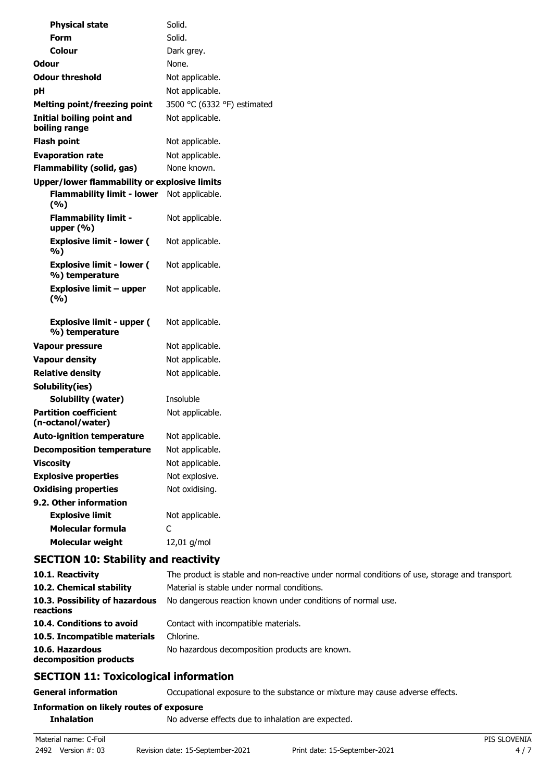| <b>Physical state</b>                               | Solid.                      |
|-----------------------------------------------------|-----------------------------|
| <b>Form</b>                                         | Solid.                      |
| <b>Colour</b>                                       | Dark grey.                  |
| <b>Odour</b>                                        | None.                       |
| <b>Odour threshold</b>                              | Not applicable.             |
| pH                                                  | Not applicable.             |
| <b>Melting point/freezing point</b>                 | 3500 °C (6332 °F) estimated |
| <b>Initial boiling point and</b><br>boiling range   | Not applicable.             |
| <b>Flash point</b>                                  | Not applicable.             |
| <b>Evaporation rate</b>                             | Not applicable.             |
| <b>Flammability (solid, gas)</b>                    | None known.                 |
| <b>Upper/lower flammability or explosive limits</b> |                             |
| <b>Flammability limit - lower</b><br>(%)            | Not applicable.             |
| <b>Flammability limit -</b><br>upper $(% )$         | Not applicable.             |
| <b>Explosive limit - lower (</b><br>%)              | Not applicable.             |
| <b>Explosive limit - lower (</b><br>%) temperature  | Not applicable.             |
| <b>Explosive limit - upper</b><br>(%)               | Not applicable.             |
| <b>Explosive limit - upper (</b><br>%) temperature  | Not applicable.             |
| <b>Vapour pressure</b>                              | Not applicable.             |
| <b>Vapour density</b>                               | Not applicable.             |
| <b>Relative density</b>                             | Not applicable.             |
| Solubility(ies)                                     |                             |
| <b>Solubility (water)</b>                           | Insoluble                   |
| <b>Partition coefficient</b><br>(n-octanol/water)   | Not applicable.             |
| <b>Auto-ignition temperature</b>                    | Not applicable.             |
| <b>Decomposition temperature</b>                    | Not applicable.             |
| <b>Viscosity</b>                                    | Not applicable.             |
| <b>Explosive properties</b>                         | Not explosive.              |
| <b>Oxidising properties</b>                         | Not oxidising.              |
| 9.2. Other information<br><b>Explosive limit</b>    | Not applicable.             |
| <b>Molecular formula</b>                            | C                           |
| <b>Molecular weight</b>                             | 12,01 g/mol                 |
| <b>SECTION 10: Stability and reactivity</b>         |                             |

| 10.1. Reactivity                            | The product is stable and non-reactive under normal conditions of use, storage and transport. |
|---------------------------------------------|-----------------------------------------------------------------------------------------------|
| 10.2. Chemical stability                    | Material is stable under normal conditions.                                                   |
| 10.3. Possibility of hazardous<br>reactions | No dangerous reaction known under conditions of normal use.                                   |
| 10.4. Conditions to avoid                   | Contact with incompatible materials.                                                          |
| 10.5. Incompatible materials                | Chlorine.                                                                                     |
| 10.6. Hazardous<br>decomposition products   | No hazardous decomposition products are known.                                                |

# **SECTION 11: Toxicological information**

**General information CCCUPATION** Occupational exposure to the substance or mixture may cause adverse effects.

# **Information on likely routes of exposure**

**Inhalation** No adverse effects due to inhalation are expected.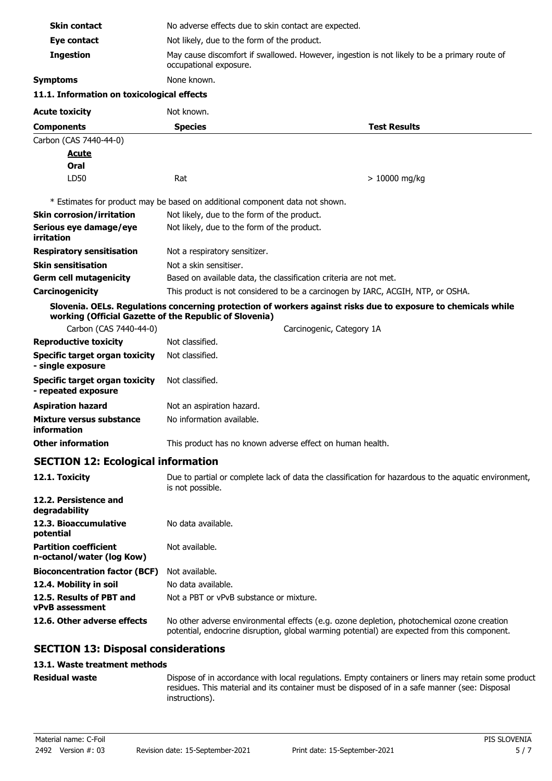| <b>Skin contact</b>                                          | No adverse effects due to skin contact are expected.                                                                     |                                                                                                                                                                                            |  |
|--------------------------------------------------------------|--------------------------------------------------------------------------------------------------------------------------|--------------------------------------------------------------------------------------------------------------------------------------------------------------------------------------------|--|
| Eye contact                                                  | Not likely, due to the form of the product.                                                                              |                                                                                                                                                                                            |  |
| <b>Ingestion</b>                                             | May cause discomfort if swallowed. However, ingestion is not likely to be a primary route of<br>occupational exposure.   |                                                                                                                                                                                            |  |
| <b>Symptoms</b>                                              | None known.                                                                                                              |                                                                                                                                                                                            |  |
| 11.1. Information on toxicological effects                   |                                                                                                                          |                                                                                                                                                                                            |  |
| <b>Acute toxicity</b>                                        | Not known.                                                                                                               |                                                                                                                                                                                            |  |
| <b>Components</b>                                            | <b>Species</b>                                                                                                           | <b>Test Results</b>                                                                                                                                                                        |  |
| Carbon (CAS 7440-44-0)                                       |                                                                                                                          |                                                                                                                                                                                            |  |
| <u>Acute</u>                                                 |                                                                                                                          |                                                                                                                                                                                            |  |
| Oral                                                         |                                                                                                                          |                                                                                                                                                                                            |  |
| LD50                                                         | Rat                                                                                                                      | $>10000$ mg/kg                                                                                                                                                                             |  |
|                                                              | * Estimates for product may be based on additional component data not shown.                                             |                                                                                                                                                                                            |  |
| <b>Skin corrosion/irritation</b>                             | Not likely, due to the form of the product.                                                                              |                                                                                                                                                                                            |  |
| Serious eye damage/eye<br>irritation                         | Not likely, due to the form of the product.                                                                              |                                                                                                                                                                                            |  |
| <b>Respiratory sensitisation</b>                             | Not a respiratory sensitizer.                                                                                            |                                                                                                                                                                                            |  |
| <b>Skin sensitisation</b>                                    | Not a skin sensitiser.                                                                                                   |                                                                                                                                                                                            |  |
| <b>Germ cell mutagenicity</b>                                |                                                                                                                          | Based on available data, the classification criteria are not met.                                                                                                                          |  |
| Carcinogenicity                                              |                                                                                                                          | This product is not considered to be a carcinogen by IARC, ACGIH, NTP, or OSHA.                                                                                                            |  |
|                                                              | working (Official Gazette of the Republic of Slovenia)                                                                   | Slovenia. OELs. Regulations concerning protection of workers against risks due to exposure to chemicals while                                                                              |  |
| Carbon (CAS 7440-44-0)                                       |                                                                                                                          | Carcinogenic, Category 1A                                                                                                                                                                  |  |
| <b>Reproductive toxicity</b>                                 | Not classified.                                                                                                          |                                                                                                                                                                                            |  |
| <b>Specific target organ toxicity</b><br>- single exposure   | Not classified.                                                                                                          |                                                                                                                                                                                            |  |
| <b>Specific target organ toxicity</b><br>- repeated exposure | Not classified.                                                                                                          |                                                                                                                                                                                            |  |
| <b>Aspiration hazard</b>                                     | Not an aspiration hazard.                                                                                                |                                                                                                                                                                                            |  |
| Mixture versus substance<br>information                      | No information available.                                                                                                |                                                                                                                                                                                            |  |
| <b>Other information</b>                                     | This product has no known adverse effect on human health.                                                                |                                                                                                                                                                                            |  |
| <b>SECTION 12: Ecological information</b>                    |                                                                                                                          |                                                                                                                                                                                            |  |
| 12.1. Toxicity                                               | Due to partial or complete lack of data the classification for hazardous to the aquatic environment,<br>is not possible. |                                                                                                                                                                                            |  |
| 12.2. Persistence and<br>degradability                       |                                                                                                                          |                                                                                                                                                                                            |  |
| 12.3. Bioaccumulative<br>potential                           | No data available.                                                                                                       |                                                                                                                                                                                            |  |
| <b>Partition coefficient</b><br>n-octanol/water (log Kow)    | Not available.                                                                                                           |                                                                                                                                                                                            |  |
| <b>Bioconcentration factor (BCF)</b>                         | Not available.                                                                                                           |                                                                                                                                                                                            |  |
| 12.4. Mobility in soil                                       | No data available.                                                                                                       |                                                                                                                                                                                            |  |
| 12.5. Results of PBT and<br><b>vPvB</b> assessment           | Not a PBT or vPvB substance or mixture.                                                                                  |                                                                                                                                                                                            |  |
| 12.6. Other adverse effects                                  |                                                                                                                          | No other adverse environmental effects (e.g. ozone depletion, photochemical ozone creation<br>potential, endocrine disruption, global warming potential) are expected from this component. |  |
| <b>SECTION 13: Disposal considerations</b>                   |                                                                                                                          |                                                                                                                                                                                            |  |
| 13.1. Waste treatment methods                                |                                                                                                                          |                                                                                                                                                                                            |  |

#### **Residual waste**

Dispose of in accordance with local regulations. Empty containers or liners may retain some product residues. This material and its container must be disposed of in a safe manner (see: Disposal instructions).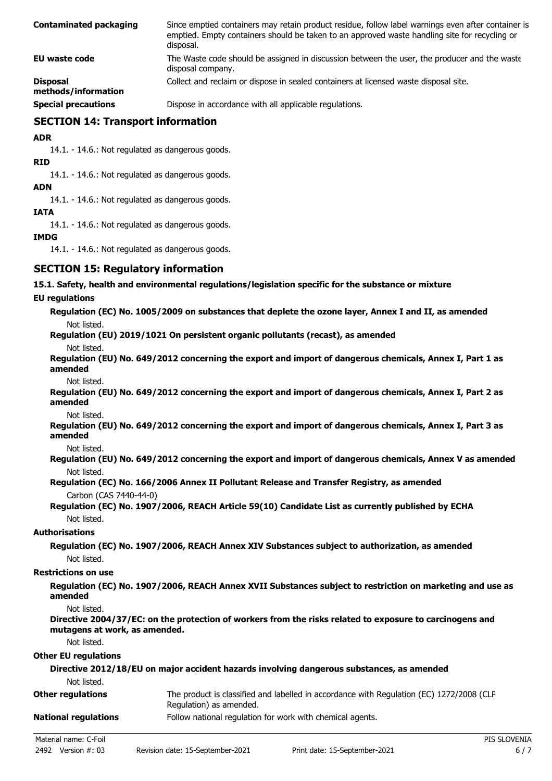| <b>Contaminated packaging</b>          | Since emptied containers may retain product residue, follow label warnings even after container is<br>emptied. Empty containers should be taken to an approved waste handling site for recycling or<br>disposal. |
|----------------------------------------|------------------------------------------------------------------------------------------------------------------------------------------------------------------------------------------------------------------|
| EU waste code                          | The Waste code should be assigned in discussion between the user, the producer and the waste<br>disposal company.                                                                                                |
| <b>Disposal</b><br>methods/information | Collect and reclaim or dispose in sealed containers at licensed waste disposal site.                                                                                                                             |
| <b>Special precautions</b>             | Dispose in accordance with all applicable regulations.                                                                                                                                                           |

## **SECTION 14: Transport information**

**ADR**

14.1. - 14.6.: Not regulated as dangerous goods.

**RID**

14.1. - 14.6.: Not regulated as dangerous goods.

**ADN**

14.1. - 14.6.: Not regulated as dangerous goods.

#### **IATA**

14.1. - 14.6.: Not regulated as dangerous goods.

#### **IMDG**

14.1. - 14.6.: Not regulated as dangerous goods.

## **SECTION 15: Regulatory information**

#### **15.1. Safety, health and environmental regulations/legislation specific for the substance or mixture**

#### **EU regulations**

|             | Regulation (EC) No. 1005/2009 on substances that deplete the ozone layer, Annex I and II, as amended |
|-------------|------------------------------------------------------------------------------------------------------|
| Not listed. |                                                                                                      |

**Regulation (EU) 2019/1021 On persistent organic pollutants (recast), as amended**

Not listed.

**Regulation (EU) No. 649/2012 concerning the export and import of dangerous chemicals, Annex I, Part 1 as amended**

Not listed.

**Regulation (EU) No. 649/2012 concerning the export and import of dangerous chemicals, Annex I, Part 2 as amended**

Not listed.

- **Regulation (EU) No. 649/2012 concerning the export and import of dangerous chemicals, Annex I, Part 3 as amended**
	- Not listed.
- **Regulation (EU) No. 649/2012 concerning the export and import of dangerous chemicals, Annex V as amended** Not listed.
- **Regulation (EC) No. 166/2006 Annex II Pollutant Release and Transfer Registry, as amended** Carbon (CAS 7440-44-0)
- **Regulation (EC) No. 1907/2006, REACH Article 59(10) Candidate List as currently published by ECHA** Not listed.

### **Authorisations**

**Regulation (EC) No. 1907/2006, REACH Annex XIV Substances subject to authorization, as amended** Not listed.

#### **Restrictions on use**

**Regulation (EC) No. 1907/2006, REACH Annex XVII Substances subject to restriction on marketing and use as amended**

Not listed.

**Directive 2004/37/EC: on the protection of workers from the risks related to exposure to carcinogens and mutagens at work, as amended.**

Not listed.

#### **Other EU regulations**

| Directive 2012/18/EU on major accident hazards involving dangerous substances, as amended |                                                                                                                     |  |
|-------------------------------------------------------------------------------------------|---------------------------------------------------------------------------------------------------------------------|--|
| Not listed.                                                                               |                                                                                                                     |  |
| <b>Other regulations</b>                                                                  | The product is classified and labelled in accordance with Regulation (EC) 1272/2008 (CLP<br>Regulation) as amended. |  |
| <b>National regulations</b>                                                               | Follow national regulation for work with chemical agents.                                                           |  |